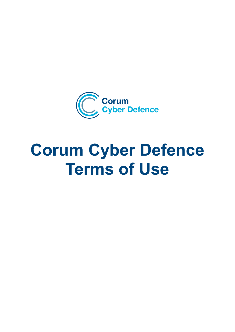

# **Corum Cyber Defence Terms of Use**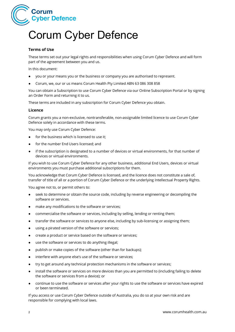

# Corum Cyber Defence

# **Terms of Use**

These terms set out your legal rights and responsibilities when using Corum Cyber Defence and will form part of the agreement between you and us.

In this document:

- you or your means you or the business or company you are authorised to represent.
- Corum, we, our or us means Corum Health Pty Limited ABN 63 086 308 858

You can obtain a Subscription to use Corum Cyber Defence via our Online Subscription Portal or by signing an Order Form and returning it to us.

These terms are included in any subscription for Corum Cyber Defence you obtain.

#### **Licence**

Corum grants you a non-exclusive, nontransferable, non-assignable limited licence to use Corum Cyber Defence solely in accordance with these terms.

You may only use Corum Cyber Defence:

- for the business which is licensed to use it;
- for the number End Users licensed; and
- if the subscription is designated to a number of devices or virtual environments, for that number of devices or virtual environments.

If you wish to use Corum Cyber Defence for any other business, additional End Users, devices or virtual environments you must purchase additional subscriptions for them.

You acknowledge that Corum Cyber Defence is licensed, and the licence does not constitute a sale of, transfer of title of all or a portion of Corum Cyber Defence or the underlying Intellectual Property Rights.

You agree not to, or permit others to:

- seek to determine or obtain the source code, including by reverse engineering or decompiling the software or services.
- make any modifications to the software or services;
- commercialise the software or services, including by selling, lending or renting them;
- transfer the software or services to anyone else, including by sub-licensing or assigning them;
- using a pirated version of the software or services;
- create a product or service based on the software or services;
- use the software or services to do anything illegal;
- publish or make copies of the software (other than for backups);
- interfere with anyone else's use of the software or services;
- try to get around any technical protection mechanisms in the software or services;
- install the software or services on more devices than you are permitted to (including failing to delete the software or services from a device); or
- continue to use the software or services after your rights to use the software or services have expired or been terminated.

If you access or use Corum Cyber Defence outside of Australia, you do so at your own risk and are responsible for complying with local laws.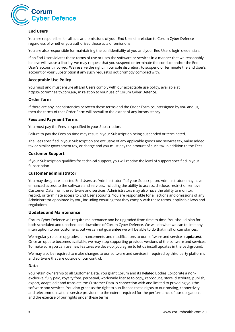

# **End Users**

You are responsible for all acts and omissions of your End Users in relation to Corum Cyber Defence regardless of whether you authorised those acts or omissions.

You are also responsible for maintaining the confidentiality of you and your End Users' login credentials.

If an End User violates these terms of use or uses the software or services in a manner that we reasonably believe will cause a liability, we may request that you suspend or terminate the conduct and/or the End User's account involved. We reserve the right, in our sole discretion, to suspend or terminate the End User's account or your Subscription if any such request is not promptly complied with.

# **Acceptable Use Policy**

You must and must ensure all End Users comply with our acceptable use policy, available at https://corumhealth.com.au/, in relation to your use of Corum Cyber Defence.

# **Order form**

If there are any inconsistencies between these terms and the Order Form countersigned by you and us, then the terms of that Order Form will prevail to the extent of any inconsistency.

# **Fees and Payment Terms**

You must pay the Fees as specified in your Subscription.

Failure to pay the Fees on time may result in your Subscription being suspended or terminated.

The Fees specified in your Subscription are exclusive of any applicable goods and services tax, value added tax or similar government tax, or charge and you must pay the amount of such tax in addition to the Fees.

#### **Customer Support**

If your Subscription qualifies for technical support, you will receive the level of support specified in your Subscription.

#### **Customer administrator**

You may designate selected End Users as "Administrators" of your Subscription. Administrators may have enhanced access to the software and services, including the ability to access, disclose, restrict or remove Customer Data from the software and services. Administrators may also have the ability to monitor, restrict, or terminate access to End User accounts. You are responsible for all actions and omissions of any Administrator appointed by you, including ensuring that they comply with these terms, applicable laws and regulations.

# **Updates and Maintenance**

Corum Cyber Defence will require maintenance and be upgraded from time to time. You should plan for both scheduled and unscheduled downtime of Corum Cyber Defence. We will do what we can to limit any interruption to our customers, but we cannot guarantee we will be able to do that in all circumstances.

We regularly release upgrades, enhancements and modifications to our software and services (**updates**). Once an update becomes available, we may stop supporting previous versions of the software and services. To make sure you can use new features we develop, you agree to let us install updates in the background.

We may also be required to make changes to our software and services if required by third party platforms and software that are outside of our control.

#### **Data**

You retain ownership to all Customer Data. You grant Corum and its Related Bodies Corporate a nonexclusive, fully paid, royalty free. perpetual, worldwide license to copy, reproduce, store, distribute, publish, export, adapt, edit and translate the Customer Data in connection with and limited to providing you the software and services. You also grant us the right to sub-license these rights to our hosting, connectivity and telecommunications service providers to the extent required for the performance of our obligations and the exercise of our rights under these terms.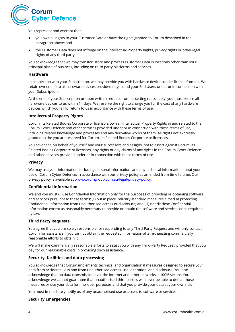

You represent and warrant that:

- you own all rights to your Customer Data or have the rights granted to Corum described in the paragraph above; and
- the Customer Data does not infringe on the Intellectual Property Rights, privacy rights or other legal rights of any third party.

You acknowledge that we may transfer, store and process Customer Data in locations other than your principal place of business, including on third party platforms and services.

### **Hardware**

In connection with your Subscription, we may provide you with hardware devices under license from us. We retain ownership to all hardware devices provided to you and your End Users under or in connection with your Subscription.

At the end of your Subscription or upon written request from us (acting reasonably) you must return all hardware devices to us within 14 days. We reserve the right to charge you for the cost of any hardware devices which you fail to return to us in accordance with these terms of use.

#### **Intellectual Property Rights**

Corum, its Related Bodies Corporate or licensors own all Intellectual Property Rights in and related to the Corum Cyber Defence and other services provided under or in connection with these terms of use, including related knowledge and processes and any derivative works of them. All rights not expressly granted to the you are reserved for Corum, its Related Bodies Corporate or licensors.

You covenant, on behalf of yourself and your successors and assigns, not to assert against Corum, its Related Bodies Corporate or licensors, any rights or any claims of any rights in the Corum Cyber Defence and other services provided under or in connection with these terms of use.

#### **Privacy**

We may use your information, including personal information, and any technical information about your use of Corum Cyber Defence, in accordance with our privacy policy as amended from time to time. Our privacy policy is available a[t www.corumgroup.com.au/legal/privacy-policy.](http://www.corumgroup.com.au/legal/privacy-policy)

# **Confidential information**

We and you must (i) use Confidential Information only for the purposes of providing or obtaining software and services pursuant to these terms; (ii) put in place industry-standard measures aimed at protecting Confidential Information from unauthorised access or disclosure; and (iii) not disclose Confidential Information except as reasonably necessary to provide or obtain the software and services or as required by law.

# **Third Party Requests**

You agree that you are solely responsible for responding to any Third-Party Request and will only contact Corum for assistance if you cannot obtain the requested information after exhausting commercially reasonable efforts to obtain it.

We will make commercially reasonable efforts to assist you with any Third-Party Request, provided that you pay for our reasonable costs in providing such assistance.

# **Security, facilities and data processing**

You acknowledge that Corum implements technical and organisational measures designed to secure your data from accidental loss and from unauthorised access, use, alteration, and disclosure. You also acknowledge that no data transmission over the internet and other networks is 100% secure. You acknowledge we cannot guarantee that unauthorised third parties will never be able to defeat those measures or use your data for improper purposes and that you provide your data at your own risk.

You must immediately notify us of any unauthorised use or access to software or services.

#### **Security Emergencies**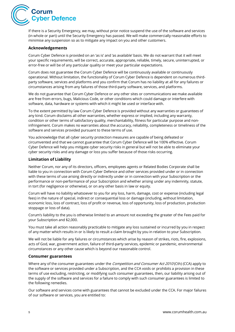

If there is a Security Emergency, we may, without prior notice suspend the use of the software and services (in whole or part) until the Security Emergency has passed. We will make commercially reasonable efforts to minimise any suspension so as to mitigate any impact on you and other customers.

#### **Acknowledgements**

Corum Cyber Defence is provided on an 'as is' and 'as available' basis. We do not warrant that it will meet your specific requirements, will be correct, accurate, appropriate, reliable, timely, secure, uninterrupted, or error-free or will be of any particular quality or meet your particular expectations.

Corum does not guarantee the Corum Cyber Defence will be continuously available or continuously operational. Without limitation, the functionality of Corum Cyber Defence is dependent on numerous thirdparty software, services and platforms and you confirm that Corum has no liability at all for any failures or circumstances arising from any failures of those third-party software, services, and platforms.

We do not guarantee that Corum Cyber Defence or any other sites or communications we make available are free from errors, bugs, Malicious Code, or other conditions which could damage or interfere with software, data, hardware or systems with which it might be used or interface with.

To the extent permitted by law Corum Cyber Defence is provided without any warranties or guarantees of any kind. Corum disclaims all other warranties, whether express or implied, including any warranty, condition or other terms of satisfactory quality, merchantability, fitness for particular purpose and noninfringement. Corum makes no warranties about the accuracy, reliability, completeness or timeliness of the software and services provided pursuant to these terms of use.

You acknowledge that all cyber security protection measures are capable of being defeated or circumvented and that we cannot guarantee that Corum Cyber Defence will be 100% effective. Corum Cyber Defence will help you mitigate cyber security risks in general but will not be able to eliminate your cyber security risks and any damage or loss you suffer because of those risks occurring.

#### **Limitation of Liability**

Neither Corum, nor any of its directors, officers, employees agents or Related Bodies Corporate shall be liable to you in connection with Corum Cyber Defence and other services provided under or in connection with these terms of use arising directly or indirectly under or in connection with your Subscription or the performance or non-performance of your Subscription and whether arising under any indemnity, statute, in tort (for negligence or otherwise), or on any other basis in law or equity.

Corum will have no liability whatsoever to you for any loss, harm, damage, cost or expense (including legal fees) in the nature of special, indirect or consequential loss or damage (including, without limitation, economic loss, loss of contract, loss of profit or revenue, loss of opportunity, loss of production, production stoppage or loss of data).

Corum's liability to the you is otherwise limited to an amount not exceeding the greater of the Fees paid for your Subscription and \$2,000.

You must take all action reasonably practicable to mitigate any loss sustained or incurred by you in respect of any matter which results in or is likely to result a claim brought by you in relation to your Subscription.

We will not be liable for any failures or circumstances which arise by reason of strikes, riots, fire, explosions, acts of God, war, government action, failure of third-party services, epidemic or pandemic, environmental circumstances or any other cause which is beyond our reasonable control.

#### **Consumer guarantees**

Where any of the consumer guarantees under the *Competition and Consumer Act 2010* (Cth) (CCA) apply to the software or services provided under a Subscription, and the CCA voids or prohibits a provision in these terms of use excluding, restricting, or modifying such consumer guarantees, then, our liability arising out of the supply of the software and services for a failure to comply with such consumer guarantees is limited to the following remedies.

Our software and services come with guarantees that cannot be excluded under the CCA. For major failures of our software or services, you are entitled to: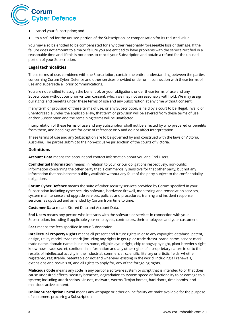

- cancel your Subscription; and
- to a refund for the unused portion of the Subscription, or compensation for its reduced value.

You may also be entitled to be compensated for any other reasonably foreseeable loss or damage. If the failure does not amount to a major failure you are entitled to have problems with the service rectified in a reasonable time and, if this is not done, to cancel your Subscription and obtain a refund for the unused portion of your Subscription.

#### **Legal technicalities**

These terms of use, combined with the Subscription, contain the entire understanding between the parties concerning Corum Cyber Defence and other services provided under or in connection with these terms of use and supersede all prior communications.

You are not entitled to assign the benefit of, or your obligations under these terms of use and any Subscription without our prior written consent, which we may not unreasonably withhold. We may assign our rights and benefits under these terms of use and any Subscription at any time without consent.

If any term or provision of these terms of use, or any Subscription, is held by a court to be illegal, invalid or unenforceable under the applicable law, that term or provision will be severed from these terms of use and/or Subscription and the remaining terms will be unaffected.

Interpretation of these terms of use and any Subscription shall not be affected by who prepared or benefits from them, and headings are for ease of reference only and do not affect interpretation.

These terms of use and any Subscription are to be governed by and construed with the laws of Victoria, Australia. The parties submit to the non-exclusive jurisdiction of the courts of Victoria.

### **Definitions**

**Account Data** means the account and contact information about you and End Users.

**Confidential Information** means, in relation to your or our obligations respectively, non-public information concerning the other party that is commercially sensitive for that other party, but not any information that has become publicly available without any fault of the party subject to the confidentiality obligations.

**Corum Cyber Defence** means the suite of cyber security services provided by Corum specified in your Subscription including cyber security software, hardware firewall, monitoring and remediation services, system maintenance and upgrade services, policies and procedures, training and incident response services, as updated and amended by Corum from time to time.

**Customer Data** means Stored Data and Account Data.

**End Users** means any person who interacts with the software or services in connection with your Subscription, including if applicable your employees, contractors, their employees and your customers.

**Fees** means the fees specified in your Subscription.

**Intellectual Property Rights** means all present and future rights in or to any copyright, database, patent, design, utility model, trade mark (including any rights in get up or trade dress), brand name, service mark, trade name, domain name, business name, eligible layout right, chip topography right, plant breeder's right, know-how, trade secret, confidential information and any other rights of a proprietary nature in or to the results of intellectual activity in the industrial, commercial, scientific, literary or artistic fields, whether registered, registrable, patentable or not and wherever existing in the world, including all renewals, extensions and revivals of, and all rights to apply for, any of the foregoing rights.

**Malicious Code** means any code in any part of a software system or script that is intended to or that does cause undesired effects, security breaches, degradation to system speed or functionality to or damage to a system; including attack scripts, viruses, malware, worms, Trojan horses, backdoors, time bombs, and malicious active content.

**Online Subscription Portal** means any webpage or other online facility we make available for the purpose of customers procuring a Subscription.